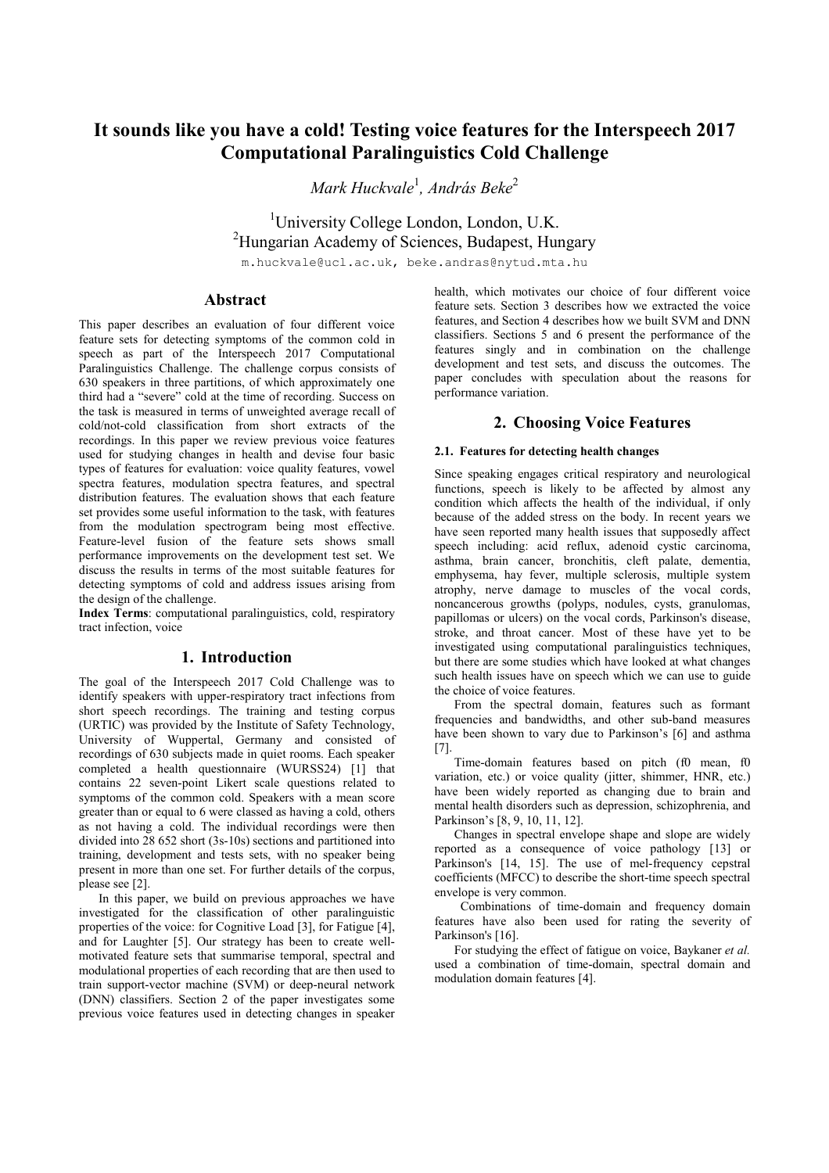# **It sounds like you have a cold! Testing voice features for the Interspeech 2017 Computational Paralinguistics Cold Challenge**

*Mark Huckvale*<sup>1</sup> *, András Beke*<sup>2</sup>

<sup>1</sup>University College London, London, U.K. <sup>2</sup>Hungarian Academy of Sciences, Budapest, Hungary

m.huckvale@ucl.ac.uk, beke.andras@nytud.mta.hu

# **Abstract**

This paper describes an evaluation of four different voice feature sets for detecting symptoms of the common cold in speech as part of the Interspeech 2017 Computational Paralinguistics Challenge. The challenge corpus consists of 630 speakers in three partitions, of which approximately one third had a "severe" cold at the time of recording. Success on the task is measured in terms of unweighted average recall of cold/not-cold classification from short extracts of the recordings. In this paper we review previous voice features used for studying changes in health and devise four basic types of features for evaluation: voice quality features, vowel spectra features, modulation spectra features, and spectral distribution features. The evaluation shows that each feature set provides some useful information to the task, with features from the modulation spectrogram being most effective. Feature-level fusion of the feature sets shows small performance improvements on the development test set. We discuss the results in terms of the most suitable features for detecting symptoms of cold and address issues arising from the design of the challenge.

**Index Terms**: computational paralinguistics, cold, respiratory tract infection, voice

# **1. Introduction**

The goal of the Interspeech 2017 Cold Challenge was to identify speakers with upper-respiratory tract infections from short speech recordings. The training and testing corpus (URTIC) was provided by the Institute of Safety Technology, University of Wuppertal, Germany and consisted of recordings of 630 subjects made in quiet rooms. Each speaker completed a health questionnaire (WURSS24) [1] that contains 22 seven-point Likert scale questions related to symptoms of the common cold. Speakers with a mean score greater than or equal to 6 were classed as having a cold, others as not having a cold. The individual recordings were then divided into 28 652 short (3s-10s) sections and partitioned into training, development and tests sets, with no speaker being present in more than one set. For further details of the corpus, please see [2].

 In this paper, we build on previous approaches we have investigated for the classification of other paralinguistic properties of the voice: for Cognitive Load [3], for Fatigue [4], and for Laughter [5]. Our strategy has been to create wellmotivated feature sets that summarise temporal, spectral and modulational properties of each recording that are then used to train support-vector machine (SVM) or deep-neural network (DNN) classifiers. Section 2 of the paper investigates some previous voice features used in detecting changes in speaker health, which motivates our choice of four different voice feature sets. Section 3 describes how we extracted the voice features, and Section 4 describes how we built SVM and DNN classifiers. Sections 5 and 6 present the performance of the features singly and in combination on the challenge development and test sets, and discuss the outcomes. The paper concludes with speculation about the reasons for performance variation.

# **2. Choosing Voice Features**

### **2.1. Features for detecting health changes**

Since speaking engages critical respiratory and neurological functions, speech is likely to be affected by almost any condition which affects the health of the individual, if only because of the added stress on the body. In recent years we have seen reported many health issues that supposedly affect speech including: acid reflux, adenoid cystic carcinoma, asthma, brain cancer, bronchitis, cleft palate, dementia, emphysema, hay fever, multiple sclerosis, multiple system atrophy, nerve damage to muscles of the vocal cords, noncancerous growths (polyps, nodules, cysts, granulomas, papillomas or ulcers) on the vocal cords, Parkinson's disease, stroke, and throat cancer. Most of these have yet to be investigated using computational paralinguistics techniques, but there are some studies which have looked at what changes such health issues have on speech which we can use to guide the choice of voice features.

From the spectral domain, features such as formant frequencies and bandwidths, and other sub-band measures have been shown to vary due to Parkinson's [6] and asthma [7].

Time-domain features based on pitch (f0 mean, f0 variation, etc.) or voice quality (jitter, shimmer, HNR, etc.) have been widely reported as changing due to brain and mental health disorders such as depression, schizophrenia, and Parkinson's [8, 9, 10, 11, 12].

Changes in spectral envelope shape and slope are widely reported as a consequence of voice pathology [13] or Parkinson's [14, 15]. The use of mel-frequency cepstral coefficients (MFCC) to describe the short-time speech spectral envelope is very common.

 Combinations of time-domain and frequency domain features have also been used for rating the severity of Parkinson's [16].

For studying the effect of fatigue on voice, Baykaner *et al.* used a combination of time-domain, spectral domain and modulation domain features [4].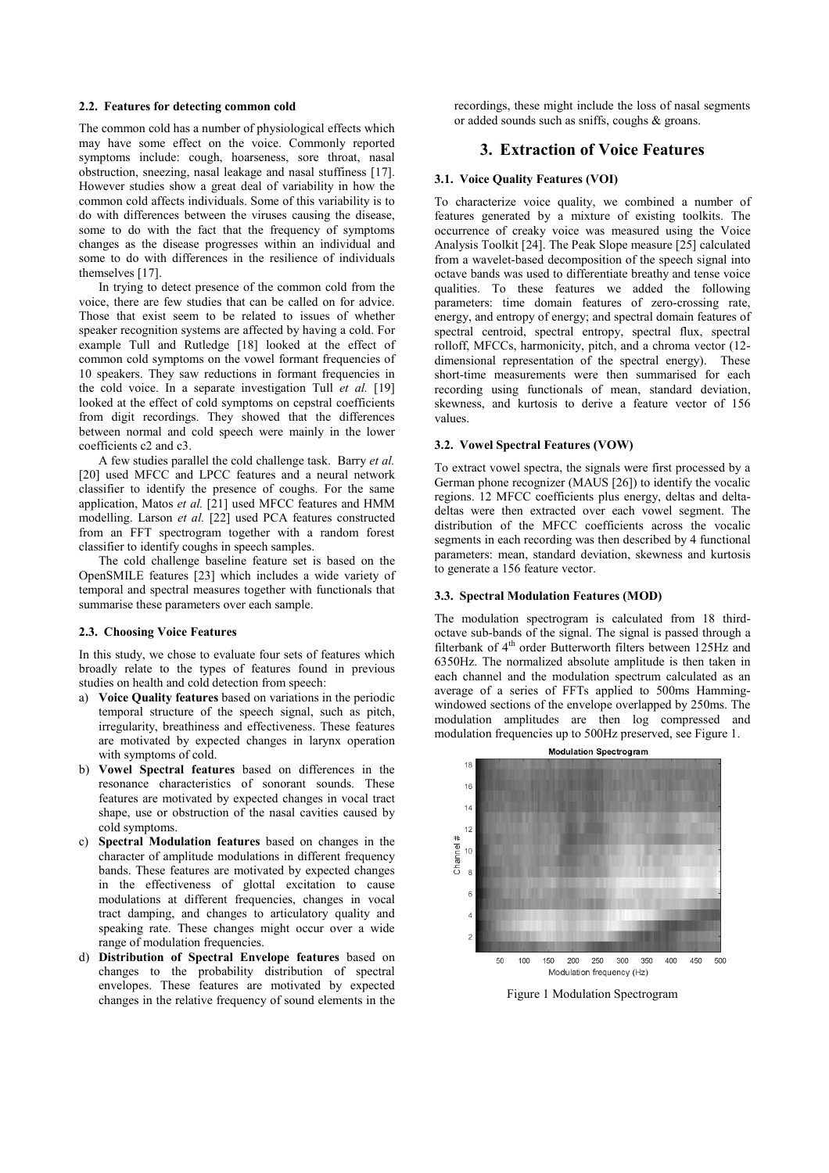# **2.2. Features for detecting common cold**

The common cold has a number of physiological effects which may have some effect on the voice. Commonly reported symptoms include: cough, hoarseness, sore throat, nasal obstruction, sneezing, nasal leakage and nasal stuffiness [17]. However studies show a great deal of variability in how the common cold affects individuals. Some of this variability is to do with differences between the viruses causing the disease, some to do with the fact that the frequency of symptoms changes as the disease progresses within an individual and some to do with differences in the resilience of individuals themselves [17].

In trying to detect presence of the common cold from the voice, there are few studies that can be called on for advice. Those that exist seem to be related to issues of whether speaker recognition systems are affected by having a cold. For example Tull and Rutledge [18] looked at the effect of common cold symptoms on the vowel formant frequencies of 10 speakers. They saw reductions in formant frequencies in the cold voice. In a separate investigation Tull *et al.* [19] looked at the effect of cold symptoms on cepstral coefficients from digit recordings. They showed that the differences between normal and cold speech were mainly in the lower coefficients c2 and c3.

A few studies parallel the cold challenge task. Barry *et al.* [20] used MFCC and LPCC features and a neural network classifier to identify the presence of coughs. For the same application, Matos *et al.* [21] used MFCC features and HMM modelling. Larson *et al.* [22] used PCA features constructed from an FFT spectrogram together with a random forest classifier to identify coughs in speech samples.

The cold challenge baseline feature set is based on the OpenSMILE features [23] which includes a wide variety of temporal and spectral measures together with functionals that summarise these parameters over each sample.

#### **2.3. Choosing Voice Features**

In this study, we chose to evaluate four sets of features which broadly relate to the types of features found in previous studies on health and cold detection from speech:

- a) **Voice Quality features** based on variations in the periodic temporal structure of the speech signal, such as pitch, irregularity, breathiness and effectiveness. These features are motivated by expected changes in larynx operation with symptoms of cold.
- b) **Vowel Spectral features** based on differences in the resonance characteristics of sonorant sounds. These features are motivated by expected changes in vocal tract shape, use or obstruction of the nasal cavities caused by cold symptoms.
- c) **Spectral Modulation features** based on changes in the character of amplitude modulations in different frequency bands. These features are motivated by expected changes in the effectiveness of glottal excitation to cause modulations at different frequencies, changes in vocal tract damping, and changes to articulatory quality and speaking rate. These changes might occur over a wide range of modulation frequencies.
- d) **Distribution of Spectral Envelope features** based on changes to the probability distribution of spectral envelopes. These features are motivated by expected changes in the relative frequency of sound elements in the

recordings, these might include the loss of nasal segments or added sounds such as sniffs, coughs & groans.

# **3. Extraction of Voice Features**

### **3.1. Voice Quality Features (VOI)**

To characterize voice quality, we combined a number of features generated by a mixture of existing toolkits. The occurrence of creaky voice was measured using the Voice Analysis Toolkit [24]. The Peak Slope measure [25] calculated from a wavelet-based decomposition of the speech signal into octave bands was used to differentiate breathy and tense voice qualities. To these features we added the following parameters: time domain features of zero-crossing rate, energy, and entropy of energy; and spectral domain features of spectral centroid, spectral entropy, spectral flux, spectral rolloff, MFCCs, harmonicity, pitch, and a chroma vector (12 dimensional representation of the spectral energy). These short-time measurements were then summarised for each recording using functionals of mean, standard deviation, skewness, and kurtosis to derive a feature vector of 156 values.

#### **3.2. Vowel Spectral Features (VOW)**

To extract vowel spectra, the signals were first processed by a German phone recognizer (MAUS [26]) to identify the vocalic regions. 12 MFCC coefficients plus energy, deltas and deltadeltas were then extracted over each vowel segment. The distribution of the MFCC coefficients across the vocalic segments in each recording was then described by 4 functional parameters: mean, standard deviation, skewness and kurtosis to generate a 156 feature vector.

#### **3.3. Spectral Modulation Features (MOD)**

The modulation spectrogram is calculated from 18 thirdoctave sub-bands of the signal. The signal is passed through a filterbank of 4th order Butterworth filters between 125Hz and 6350Hz. The normalized absolute amplitude is then taken in each channel and the modulation spectrum calculated as an average of a series of FFTs applied to 500ms Hammingwindowed sections of the envelope overlapped by 250ms. The modulation amplitudes are then log compressed and modulation frequencies up to 500Hz preserved, see Figure 1.



Figure 1 Modulation Spectrogram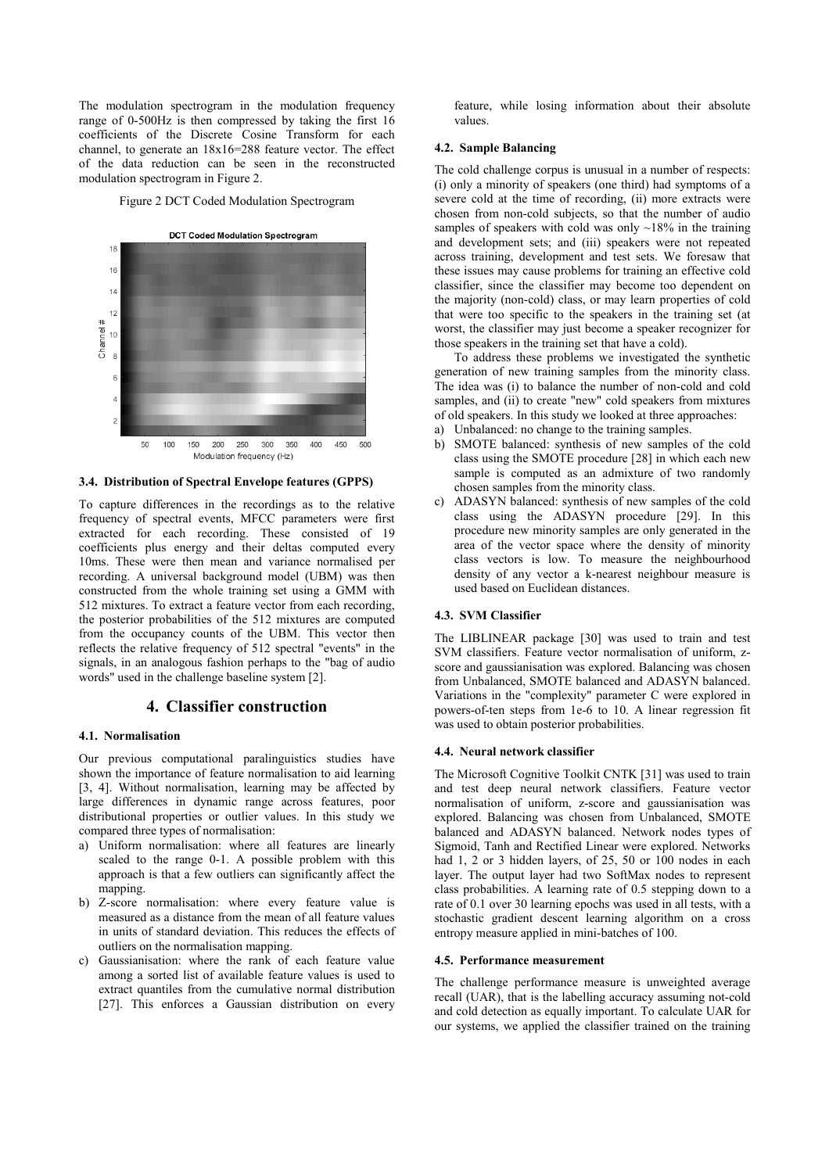The modulation spectrogram in the modulation frequency range of 0-500Hz is then compressed by taking the first 16 coefficients of the Discrete Cosine Transform for each channel, to generate an 18x16=288 feature vector. The effect of the data reduction can be seen in the reconstructed modulation spectrogram in Figure 2.

Figure 2 DCT Coded Modulation Spectrogram



**3.4. Distribution of Spectral Envelope features (GPPS)** 

To capture differences in the recordings as to the relative frequency of spectral events, MFCC parameters were first extracted for each recording. These consisted of 19 coefficients plus energy and their deltas computed every 10ms. These were then mean and variance normalised per recording. A universal background model (UBM) was then constructed from the whole training set using a GMM with 512 mixtures. To extract a feature vector from each recording, the posterior probabilities of the 512 mixtures are computed from the occupancy counts of the UBM. This vector then reflects the relative frequency of 512 spectral "events" in the signals, in an analogous fashion perhaps to the "bag of audio words" used in the challenge baseline system [2].

# **4. Classifier construction**

### **4.1. Normalisation**

Our previous computational paralinguistics studies have shown the importance of feature normalisation to aid learning [3, 4]. Without normalisation, learning may be affected by large differences in dynamic range across features, poor distributional properties or outlier values. In this study we compared three types of normalisation:

- a) Uniform normalisation: where all features are linearly scaled to the range 0-1. A possible problem with this approach is that a few outliers can significantly affect the mapping.
- b) Z-score normalisation: where every feature value is measured as a distance from the mean of all feature values in units of standard deviation. This reduces the effects of outliers on the normalisation mapping.
- c) Gaussianisation: where the rank of each feature value among a sorted list of available feature values is used to extract quantiles from the cumulative normal distribution [27]. This enforces a Gaussian distribution on every

feature, while losing information about their absolute values.

#### **4.2. Sample Balancing**

The cold challenge corpus is unusual in a number of respects: (i) only a minority of speakers (one third) had symptoms of a severe cold at the time of recording, (ii) more extracts were chosen from non-cold subjects, so that the number of audio samples of speakers with cold was only  $\sim$ 18% in the training and development sets; and (iii) speakers were not repeated across training, development and test sets. We foresaw that these issues may cause problems for training an effective cold classifier, since the classifier may become too dependent on the majority (non-cold) class, or may learn properties of cold that were too specific to the speakers in the training set (at worst, the classifier may just become a speaker recognizer for those speakers in the training set that have a cold).

To address these problems we investigated the synthetic generation of new training samples from the minority class. The idea was (i) to balance the number of non-cold and cold samples, and (ii) to create "new" cold speakers from mixtures of old speakers. In this study we looked at three approaches:

- a) Unbalanced: no change to the training samples.
- b) SMOTE balanced: synthesis of new samples of the cold class using the SMOTE procedure [28] in which each new sample is computed as an admixture of two randomly chosen samples from the minority class.
- c) ADASYN balanced: synthesis of new samples of the cold class using the ADASYN procedure [29]. In this procedure new minority samples are only generated in the area of the vector space where the density of minority class vectors is low. To measure the neighbourhood density of any vector a k-nearest neighbour measure is used based on Euclidean distances.

# **4.3. SVM Classifier**

The LIBLINEAR package [30] was used to train and test SVM classifiers. Feature vector normalisation of uniform, zscore and gaussianisation was explored. Balancing was chosen from Unbalanced, SMOTE balanced and ADASYN balanced. Variations in the "complexity" parameter C were explored in powers-of-ten steps from 1e-6 to 10. A linear regression fit was used to obtain posterior probabilities.

#### **4.4. Neural network classifier**

The Microsoft Cognitive Toolkit CNTK [31] was used to train and test deep neural network classifiers. Feature vector normalisation of uniform, z-score and gaussianisation was explored. Balancing was chosen from Unbalanced, SMOTE balanced and ADASYN balanced. Network nodes types of Sigmoid, Tanh and Rectified Linear were explored. Networks had 1, 2 or 3 hidden layers, of 25, 50 or 100 nodes in each layer. The output layer had two SoftMax nodes to represent class probabilities. A learning rate of 0.5 stepping down to a rate of 0.1 over 30 learning epochs was used in all tests, with a stochastic gradient descent learning algorithm on a cross entropy measure applied in mini-batches of 100.

#### **4.5. Performance measurement**

The challenge performance measure is unweighted average recall (UAR), that is the labelling accuracy assuming not-cold and cold detection as equally important. To calculate UAR for our systems, we applied the classifier trained on the training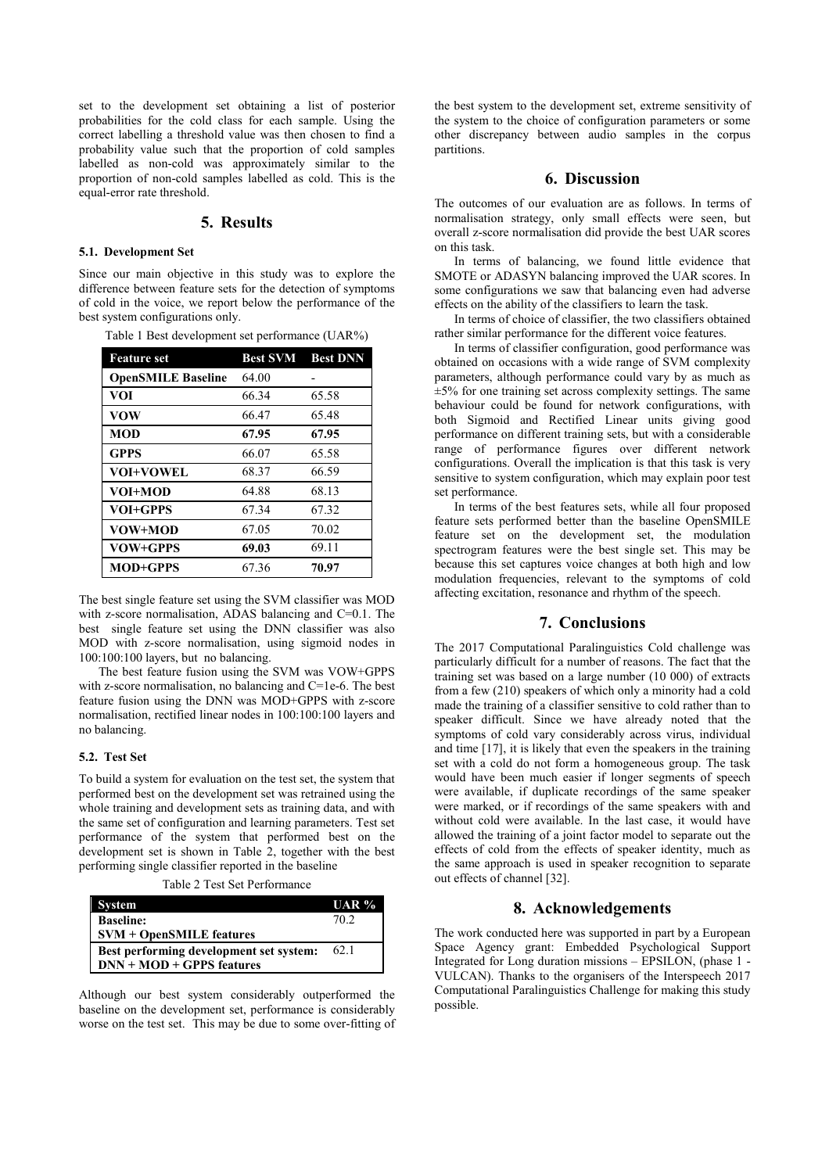set to the development set obtaining a list of posterior probabilities for the cold class for each sample. Using the correct labelling a threshold value was then chosen to find a probability value such that the proportion of cold samples labelled as non-cold was approximately similar to the proportion of non-cold samples labelled as cold. This is the equal-error rate threshold.

# **5. Results**

#### **5.1. Development Set**

Since our main objective in this study was to explore the difference between feature sets for the detection of symptoms of cold in the voice, we report below the performance of the best system configurations only.

| <b>Feature</b> set        |       | <b>Best SVM</b> Best DNN |
|---------------------------|-------|--------------------------|
| <b>OpenSMILE Baseline</b> | 64.00 |                          |
| <b>VOI</b>                | 66.34 | 65.58                    |
| <b>VOW</b>                | 66.47 | 65.48                    |
| <b>MOD</b>                | 67.95 | 67.95                    |
| <b>GPPS</b>               | 66.07 | 65.58                    |
| <b>VOI+VOWEL</b>          | 68.37 | 66.59                    |
| VOI+MOD                   | 64.88 | 68.13                    |
| VOI+GPPS                  | 67.34 | 67.32                    |
| VOW+MOD                   | 67.05 | 70.02                    |
| VOW+GPPS                  | 69.03 | 69.11                    |
| <b>MOD+GPPS</b>           | 67.36 | 70.97                    |

Table 1 Best development set performance (UAR%)

The best single feature set using the SVM classifier was MOD with z-score normalisation, ADAS balancing and C=0.1. The best single feature set using the DNN classifier was also MOD with z-score normalisation, using sigmoid nodes in 100:100:100 layers, but no balancing.

 The best feature fusion using the SVM was VOW+GPPS with z-score normalisation, no balancing and C=1e-6. The best feature fusion using the DNN was MOD+GPPS with z-score normalisation, rectified linear nodes in 100:100:100 layers and no balancing.

## **5.2. Test Set**

To build a system for evaluation on the test set, the system that performed best on the development set was retrained using the whole training and development sets as training data, and with the same set of configuration and learning parameters. Test set performance of the system that performed best on the development set is shown in Table 2, together with the best performing single classifier reported in the baseline

Table 2 Test Set Performance

| System                                  | UAR %           |
|-----------------------------------------|-----------------|
| <b>Baseline:</b>                        | 70 <sub>2</sub> |
| $SVM + OpenSMILE$ features              |                 |
| Best performing development set system: | 62.1            |
| $DNN + MOD + GPPS$ features             |                 |

Although our best system considerably outperformed the baseline on the development set, performance is considerably worse on the test set. This may be due to some over-fitting of the best system to the development set, extreme sensitivity of the system to the choice of configuration parameters or some other discrepancy between audio samples in the corpus partitions.

# **6. Discussion**

The outcomes of our evaluation are as follows. In terms of normalisation strategy, only small effects were seen, but overall z-score normalisation did provide the best UAR scores on this task.

 In terms of balancing, we found little evidence that SMOTE or ADASYN balancing improved the UAR scores. In some configurations we saw that balancing even had adverse effects on the ability of the classifiers to learn the task.

 In terms of choice of classifier, the two classifiers obtained rather similar performance for the different voice features.

 In terms of classifier configuration, good performance was obtained on occasions with a wide range of SVM complexity parameters, although performance could vary by as much as  $\pm$ 5% for one training set across complexity settings. The same behaviour could be found for network configurations, with both Sigmoid and Rectified Linear units giving good performance on different training sets, but with a considerable range of performance figures over different network configurations. Overall the implication is that this task is very sensitive to system configuration, which may explain poor test set performance.

 In terms of the best features sets, while all four proposed feature sets performed better than the baseline OpenSMILE feature set on the development set, the modulation spectrogram features were the best single set. This may be because this set captures voice changes at both high and low modulation frequencies, relevant to the symptoms of cold affecting excitation, resonance and rhythm of the speech.

# **7. Conclusions**

The 2017 Computational Paralinguistics Cold challenge was particularly difficult for a number of reasons. The fact that the training set was based on a large number (10 000) of extracts from a few (210) speakers of which only a minority had a cold made the training of a classifier sensitive to cold rather than to speaker difficult. Since we have already noted that the symptoms of cold vary considerably across virus, individual and time [17], it is likely that even the speakers in the training set with a cold do not form a homogeneous group. The task would have been much easier if longer segments of speech were available, if duplicate recordings of the same speaker were marked, or if recordings of the same speakers with and without cold were available. In the last case, it would have allowed the training of a joint factor model to separate out the effects of cold from the effects of speaker identity, much as the same approach is used in speaker recognition to separate out effects of channel [32].

### **8. Acknowledgements**

The work conducted here was supported in part by a European Space Agency grant: Embedded Psychological Support Integrated for Long duration missions – EPSILON, (phase 1 - VULCAN). Thanks to the organisers of the Interspeech 2017 Computational Paralinguistics Challenge for making this study possible.